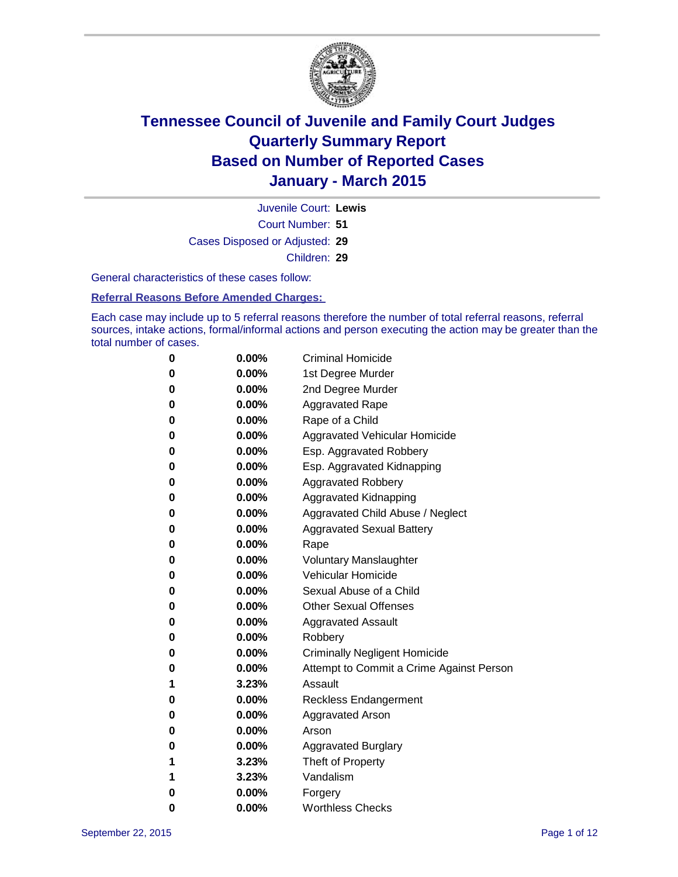

Court Number: **51** Juvenile Court: **Lewis** Cases Disposed or Adjusted: **29** Children: **29**

General characteristics of these cases follow:

#### **Referral Reasons Before Amended Charges:**

Each case may include up to 5 referral reasons therefore the number of total referral reasons, referral sources, intake actions, formal/informal actions and person executing the action may be greater than the total number of cases.

| 0        | 0.00%    | <b>Criminal Homicide</b>                 |
|----------|----------|------------------------------------------|
| 0        | $0.00\%$ | 1st Degree Murder                        |
| 0        | $0.00\%$ | 2nd Degree Murder                        |
| 0        | $0.00\%$ | <b>Aggravated Rape</b>                   |
| 0        | $0.00\%$ | Rape of a Child                          |
| 0        | $0.00\%$ | Aggravated Vehicular Homicide            |
| 0        | $0.00\%$ | Esp. Aggravated Robbery                  |
| 0        | $0.00\%$ | Esp. Aggravated Kidnapping               |
| 0        | $0.00\%$ | <b>Aggravated Robbery</b>                |
| $\bf{0}$ | $0.00\%$ | Aggravated Kidnapping                    |
| 0        | 0.00%    | Aggravated Child Abuse / Neglect         |
| 0        | $0.00\%$ | <b>Aggravated Sexual Battery</b>         |
| 0        | $0.00\%$ | Rape                                     |
| 0        | $0.00\%$ | <b>Voluntary Manslaughter</b>            |
| 0        | $0.00\%$ | <b>Vehicular Homicide</b>                |
| 0        | $0.00\%$ | Sexual Abuse of a Child                  |
| 0        | $0.00\%$ | <b>Other Sexual Offenses</b>             |
| 0        | $0.00\%$ | <b>Aggravated Assault</b>                |
| 0        | $0.00\%$ | Robbery                                  |
| 0        | $0.00\%$ | <b>Criminally Negligent Homicide</b>     |
| 0        | $0.00\%$ | Attempt to Commit a Crime Against Person |
| 1        | 3.23%    | Assault                                  |
| 0        | $0.00\%$ | <b>Reckless Endangerment</b>             |
| 0        | $0.00\%$ | Aggravated Arson                         |
| 0        | $0.00\%$ | Arson                                    |
| 0        | $0.00\%$ | <b>Aggravated Burglary</b>               |
| 1        | 3.23%    | Theft of Property                        |
| 1        | 3.23%    | Vandalism                                |
| 0        | 0.00%    | Forgery                                  |
| 0        | 0.00%    | <b>Worthless Checks</b>                  |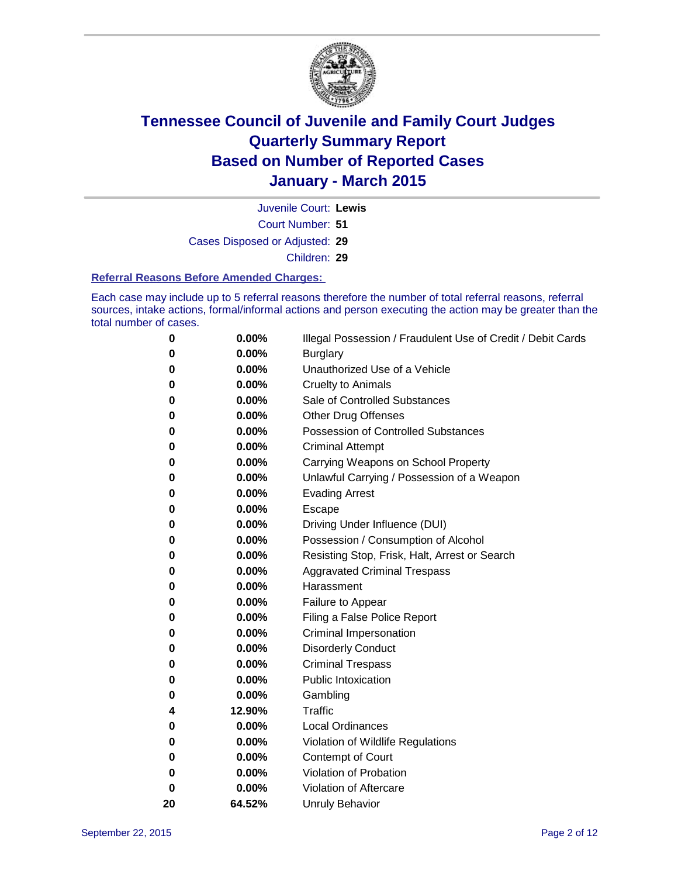

Juvenile Court: **Lewis**

Court Number: **51**

Cases Disposed or Adjusted: **29**

Children: **29**

#### **Referral Reasons Before Amended Charges:**

Each case may include up to 5 referral reasons therefore the number of total referral reasons, referral sources, intake actions, formal/informal actions and person executing the action may be greater than the total number of cases.

| 0  | 0.00%  | Illegal Possession / Fraudulent Use of Credit / Debit Cards |
|----|--------|-------------------------------------------------------------|
| 0  | 0.00%  | <b>Burglary</b>                                             |
| 0  | 0.00%  | Unauthorized Use of a Vehicle                               |
| 0  | 0.00%  | <b>Cruelty to Animals</b>                                   |
| 0  | 0.00%  | Sale of Controlled Substances                               |
| 0  | 0.00%  | <b>Other Drug Offenses</b>                                  |
| 0  | 0.00%  | <b>Possession of Controlled Substances</b>                  |
| 0  | 0.00%  | <b>Criminal Attempt</b>                                     |
| 0  | 0.00%  | Carrying Weapons on School Property                         |
| 0  | 0.00%  | Unlawful Carrying / Possession of a Weapon                  |
| 0  | 0.00%  | <b>Evading Arrest</b>                                       |
| 0  | 0.00%  | Escape                                                      |
| 0  | 0.00%  | Driving Under Influence (DUI)                               |
| 0  | 0.00%  | Possession / Consumption of Alcohol                         |
| 0  | 0.00%  | Resisting Stop, Frisk, Halt, Arrest or Search               |
| 0  | 0.00%  | <b>Aggravated Criminal Trespass</b>                         |
| 0  | 0.00%  | Harassment                                                  |
| 0  | 0.00%  | Failure to Appear                                           |
| 0  | 0.00%  | Filing a False Police Report                                |
| 0  | 0.00%  | Criminal Impersonation                                      |
| 0  | 0.00%  | <b>Disorderly Conduct</b>                                   |
| 0  | 0.00%  | <b>Criminal Trespass</b>                                    |
| 0  | 0.00%  | <b>Public Intoxication</b>                                  |
| 0  | 0.00%  | Gambling                                                    |
| 4  | 12.90% | Traffic                                                     |
| 0  | 0.00%  | <b>Local Ordinances</b>                                     |
| 0  | 0.00%  | Violation of Wildlife Regulations                           |
| 0  | 0.00%  | <b>Contempt of Court</b>                                    |
| 0  | 0.00%  | Violation of Probation                                      |
| 0  | 0.00%  | Violation of Aftercare                                      |
| 20 | 64.52% | <b>Unruly Behavior</b>                                      |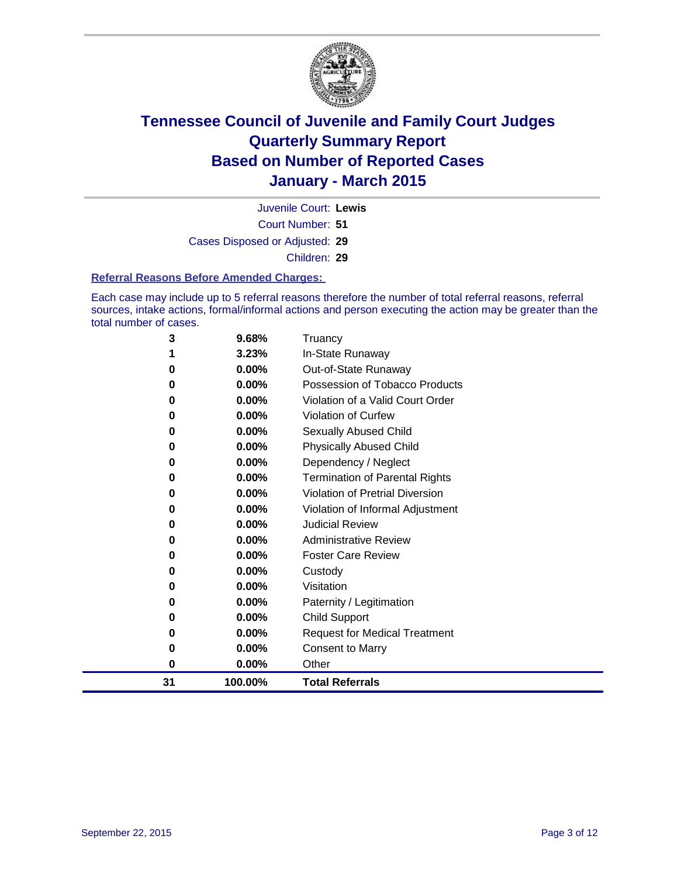

Court Number: **51** Juvenile Court: **Lewis** Cases Disposed or Adjusted: **29** Children: **29**

#### **Referral Reasons Before Amended Charges:**

Each case may include up to 5 referral reasons therefore the number of total referral reasons, referral sources, intake actions, formal/informal actions and person executing the action may be greater than the total number of cases.

| 3  | 9.68%   | Truancy                               |
|----|---------|---------------------------------------|
| 1  | 3.23%   | In-State Runaway                      |
| 0  | 0.00%   | Out-of-State Runaway                  |
| 0  | 0.00%   | Possession of Tobacco Products        |
| 0  | 0.00%   | Violation of a Valid Court Order      |
| 0  | 0.00%   | Violation of Curfew                   |
| 0  | 0.00%   | Sexually Abused Child                 |
| 0  | 0.00%   | <b>Physically Abused Child</b>        |
| 0  | 0.00%   | Dependency / Neglect                  |
| 0  | 0.00%   | <b>Termination of Parental Rights</b> |
| 0  | 0.00%   | Violation of Pretrial Diversion       |
| 0  | 0.00%   | Violation of Informal Adjustment      |
| 0  | 0.00%   | <b>Judicial Review</b>                |
| 0  | 0.00%   | <b>Administrative Review</b>          |
| 0  | 0.00%   | <b>Foster Care Review</b>             |
| 0  | 0.00%   | Custody                               |
| 0  | 0.00%   | Visitation                            |
| 0  | 0.00%   | Paternity / Legitimation              |
| 0  | 0.00%   | Child Support                         |
| 0  | 0.00%   | <b>Request for Medical Treatment</b>  |
| 0  | 0.00%   | <b>Consent to Marry</b>               |
| 0  | 0.00%   | Other                                 |
| 31 | 100.00% | <b>Total Referrals</b>                |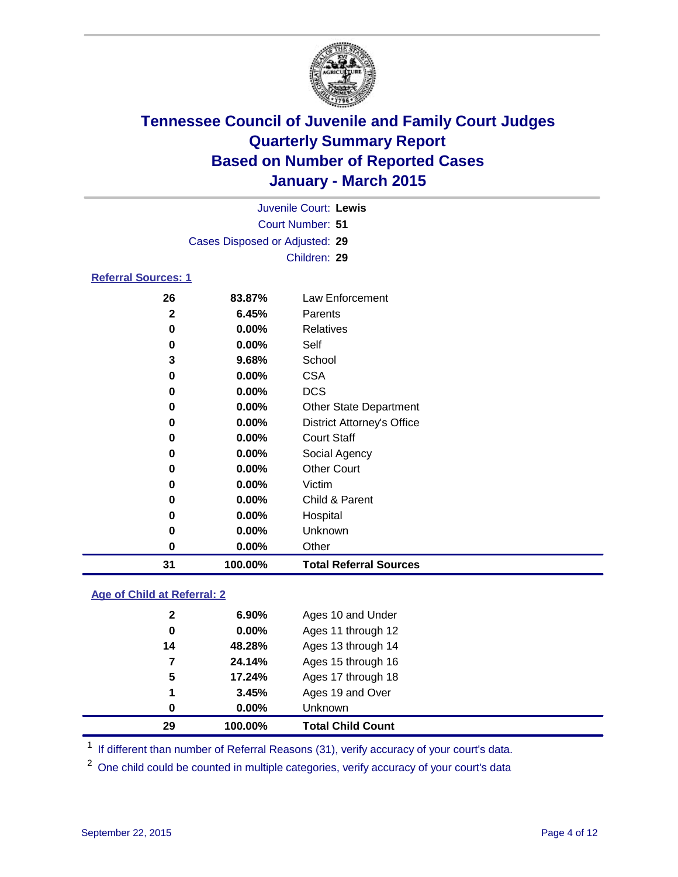

|                            |                                |          | Juvenile Court: Lewis |  |  |  |  |
|----------------------------|--------------------------------|----------|-----------------------|--|--|--|--|
|                            | Court Number: 51               |          |                       |  |  |  |  |
|                            | Cases Disposed or Adjusted: 29 |          |                       |  |  |  |  |
|                            | Children: 29                   |          |                       |  |  |  |  |
| <b>Referral Sources: 1</b> |                                |          |                       |  |  |  |  |
|                            | 26                             | 83.87%   | Law Enforcement       |  |  |  |  |
|                            | 2                              | 6.45%    | Parents               |  |  |  |  |
|                            | 0                              | $0.00\%$ | <b>Relatives</b>      |  |  |  |  |
|                            | $\sqrt{ }$                     | 0.000/   | 0.11                  |  |  |  |  |

| 31 | 100.00% | <b>Total Referral Sources</b>     |
|----|---------|-----------------------------------|
| 0  | 0.00%   | Other                             |
| 0  | 0.00%   | Unknown                           |
| 0  | 0.00%   | Hospital                          |
| 0  | 0.00%   | Child & Parent                    |
| 0  | 0.00%   | Victim                            |
| 0  | 0.00%   | <b>Other Court</b>                |
| 0  | 0.00%   | Social Agency                     |
| 0  | 0.00%   | <b>Court Staff</b>                |
| 0  | 0.00%   | <b>District Attorney's Office</b> |
| 0  | 0.00%   | <b>Other State Department</b>     |
| 0  | 0.00%   | <b>DCS</b>                        |
| 0  | 0.00%   | <b>CSA</b>                        |
| 3  | 9.68%   | School                            |
| 0  | 0.00%   | Self                              |

#### **Age of Child at Referral: 2**

| 29           | 100.00%  | <b>Total Child Count</b> |
|--------------|----------|--------------------------|
| 0            | $0.00\%$ | <b>Unknown</b>           |
| 1            | 3.45%    | Ages 19 and Over         |
| 5            | 17.24%   | Ages 17 through 18       |
| 7            | 24.14%   | Ages 15 through 16       |
| 14           | 48.28%   | Ages 13 through 14       |
| 0            | 0.00%    | Ages 11 through 12       |
| $\mathbf{2}$ | $6.90\%$ | Ages 10 and Under        |

<sup>1</sup> If different than number of Referral Reasons (31), verify accuracy of your court's data.

One child could be counted in multiple categories, verify accuracy of your court's data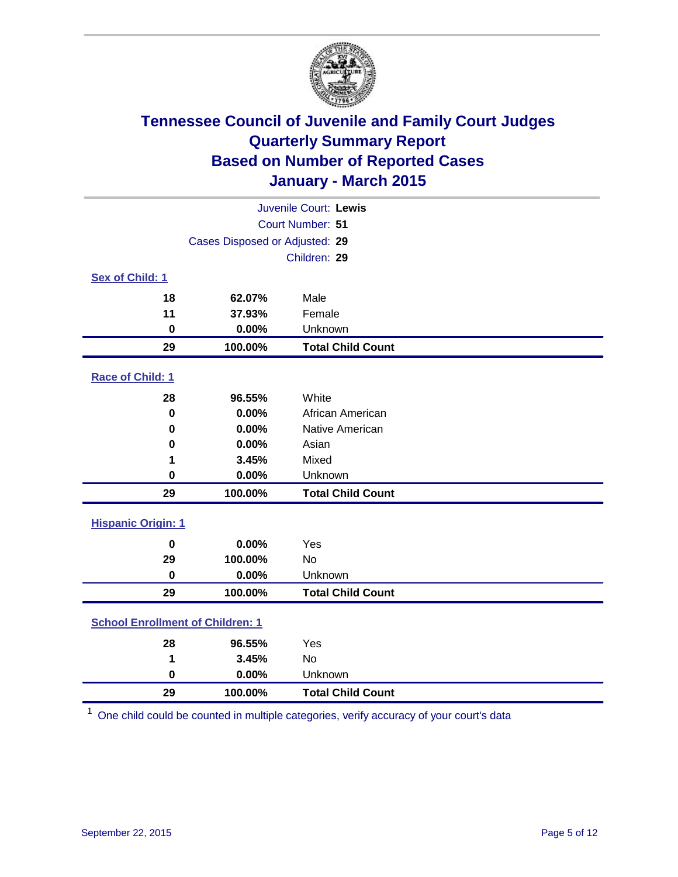

|                           |                                         | Juvenile Court: Lewis    |  |  |
|---------------------------|-----------------------------------------|--------------------------|--|--|
|                           |                                         | Court Number: 51         |  |  |
|                           | Cases Disposed or Adjusted: 29          |                          |  |  |
|                           |                                         | Children: 29             |  |  |
| Sex of Child: 1           |                                         |                          |  |  |
| 18                        | 62.07%                                  | Male                     |  |  |
| 11                        | 37.93%                                  | Female                   |  |  |
| $\bf{0}$                  | 0.00%                                   | Unknown                  |  |  |
| 29                        | 100.00%                                 | <b>Total Child Count</b> |  |  |
| Race of Child: 1          |                                         |                          |  |  |
| 28                        | 96.55%                                  | White                    |  |  |
| $\bf{0}$                  | 0.00%                                   | African American         |  |  |
| 0                         | 0.00%                                   | Native American          |  |  |
| 0                         | 0.00%                                   | Asian                    |  |  |
| 1                         | 3.45%                                   | Mixed                    |  |  |
| 0                         | 0.00%                                   | Unknown                  |  |  |
| 29                        | 100.00%                                 | <b>Total Child Count</b> |  |  |
| <b>Hispanic Origin: 1</b> |                                         |                          |  |  |
| $\bf{0}$                  | 0.00%                                   | Yes                      |  |  |
| 29                        | 100.00%                                 | <b>No</b>                |  |  |
| $\bf{0}$                  | 0.00%                                   | Unknown                  |  |  |
| 29                        | 100.00%                                 | <b>Total Child Count</b> |  |  |
|                           | <b>School Enrollment of Children: 1</b> |                          |  |  |
| 28                        | 96.55%                                  | Yes                      |  |  |
| 1                         | 3.45%                                   | <b>No</b>                |  |  |
| $\bf{0}$                  | 0.00%                                   | Unknown                  |  |  |
| 29                        | 100.00%                                 | <b>Total Child Count</b> |  |  |

One child could be counted in multiple categories, verify accuracy of your court's data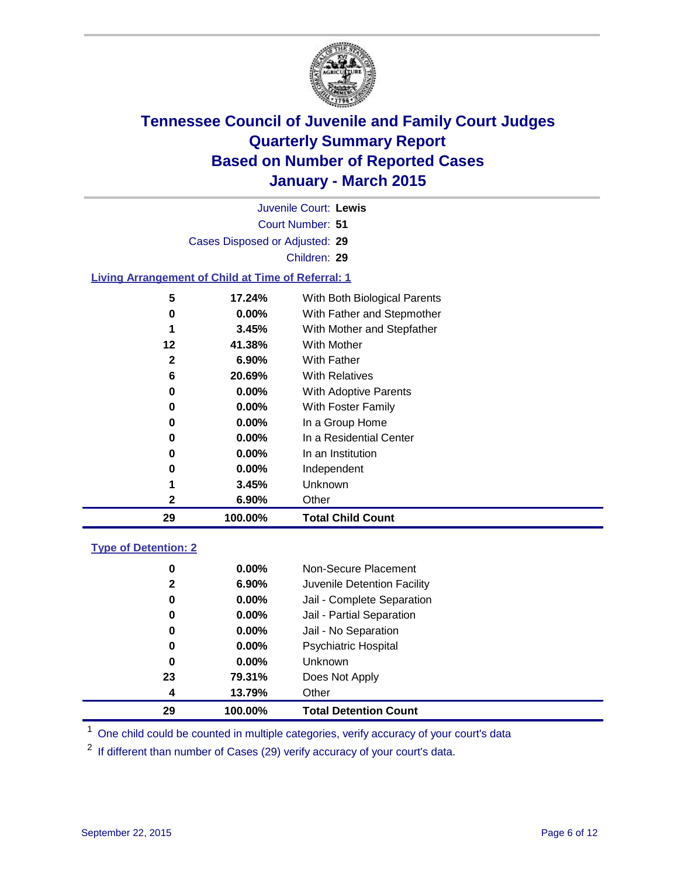

|                                                           |                                | Juvenile Court: Lewis        |  |
|-----------------------------------------------------------|--------------------------------|------------------------------|--|
| Court Number: 51                                          |                                |                              |  |
|                                                           | Cases Disposed or Adjusted: 29 |                              |  |
|                                                           |                                | Children: 29                 |  |
| <b>Living Arrangement of Child at Time of Referral: 1</b> |                                |                              |  |
| 5                                                         | 17.24%                         | With Both Biological Parents |  |
| 0                                                         | $0.00\%$                       | With Father and Stepmother   |  |
| 1                                                         | 3.45%                          | With Mother and Stepfather   |  |
| 12                                                        | 41.38%                         | <b>With Mother</b>           |  |
| $\mathbf{2}$                                              | 6.90%                          | With Father                  |  |
| 6                                                         | 20.69%                         | With Relatives               |  |
| 0                                                         | $0.00\%$                       | With Adoptive Parents        |  |
| 0                                                         | $0.00\%$                       | With Foster Family           |  |
| 0                                                         | $0.00\%$                       | In a Group Home              |  |
| 0                                                         | $0.00\%$                       | In a Residential Center      |  |
| 0                                                         | $0.00\%$                       | In an Institution            |  |
| 0                                                         | 0.00%                          | Independent                  |  |
| 1                                                         | 3.45%                          | Unknown                      |  |
| $\mathbf{2}$                                              | 6.90%                          | Other                        |  |
| 29                                                        | 100.00%                        | <b>Total Child Count</b>     |  |
| <b>Type of Detention: 2</b>                               |                                |                              |  |

| 0            | $0.00\%$ | Non-Secure Placement         |
|--------------|----------|------------------------------|
| $\mathbf{2}$ | $6.90\%$ | Juvenile Detention Facility  |
| 0            | 0.00%    | Jail - Complete Separation   |
| 0            | $0.00\%$ | Jail - Partial Separation    |
| 0            | $0.00\%$ | Jail - No Separation         |
| 0            | $0.00\%$ | <b>Psychiatric Hospital</b>  |
| 0            | $0.00\%$ | <b>Unknown</b>               |
| 23           | 79.31%   | Does Not Apply               |
| 4            | 13.79%   | Other                        |
| 29           | 100.00%  | <b>Total Detention Count</b> |

<sup>1</sup> One child could be counted in multiple categories, verify accuracy of your court's data

If different than number of Cases (29) verify accuracy of your court's data.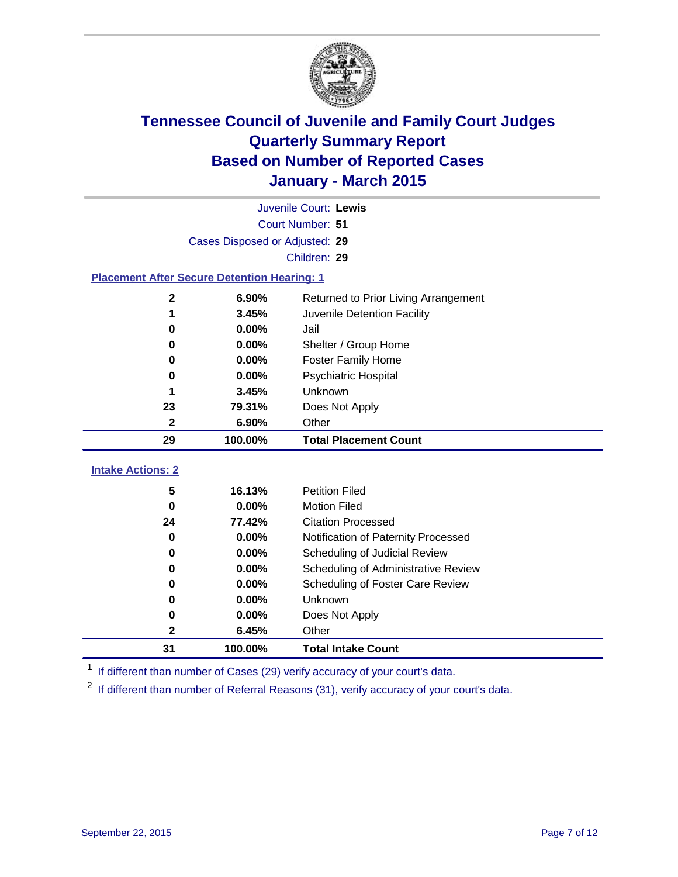

|                                                    |                                | Juvenile Court: Lewis                |  |  |
|----------------------------------------------------|--------------------------------|--------------------------------------|--|--|
|                                                    | Court Number: 51               |                                      |  |  |
|                                                    | Cases Disposed or Adjusted: 29 |                                      |  |  |
|                                                    |                                | Children: 29                         |  |  |
| <b>Placement After Secure Detention Hearing: 1</b> |                                |                                      |  |  |
| $\boldsymbol{2}$                                   | 6.90%                          | Returned to Prior Living Arrangement |  |  |
| 1                                                  | 3.45%                          | Juvenile Detention Facility          |  |  |
| 0                                                  | 0.00%                          | Jail                                 |  |  |
| $\bf{0}$                                           | 0.00%                          | Shelter / Group Home                 |  |  |
| 0                                                  | 0.00%                          | <b>Foster Family Home</b>            |  |  |
| 0                                                  | 0.00%                          | <b>Psychiatric Hospital</b>          |  |  |
| 1                                                  | 3.45%                          | Unknown                              |  |  |
| 23                                                 | 79.31%                         | Does Not Apply                       |  |  |
| $\mathbf{2}$                                       | 6.90%                          | Other                                |  |  |
| 29                                                 | 100.00%                        | <b>Total Placement Count</b>         |  |  |
| <b>Intake Actions: 2</b>                           |                                |                                      |  |  |
|                                                    |                                |                                      |  |  |
| 5                                                  | 16.13%                         | <b>Petition Filed</b>                |  |  |
| $\bf{0}$                                           | 0.00%                          | <b>Motion Filed</b>                  |  |  |
| 24                                                 | 77.42%                         | <b>Citation Processed</b>            |  |  |
| 0                                                  | 0.00%                          | Notification of Paternity Processed  |  |  |
| 0                                                  | 0.00%                          | Scheduling of Judicial Review        |  |  |
| 0                                                  | 0.00%                          | Scheduling of Administrative Review  |  |  |
| 0                                                  | 0.00%                          | Scheduling of Foster Care Review     |  |  |
| 0                                                  | 0.00%                          | Unknown                              |  |  |
| 0                                                  | 0.00%                          | Does Not Apply                       |  |  |
| 2                                                  | 6.45%                          | Other                                |  |  |
| 31                                                 | 100.00%                        | <b>Total Intake Count</b>            |  |  |

<sup>1</sup> If different than number of Cases (29) verify accuracy of your court's data.

<sup>2</sup> If different than number of Referral Reasons (31), verify accuracy of your court's data.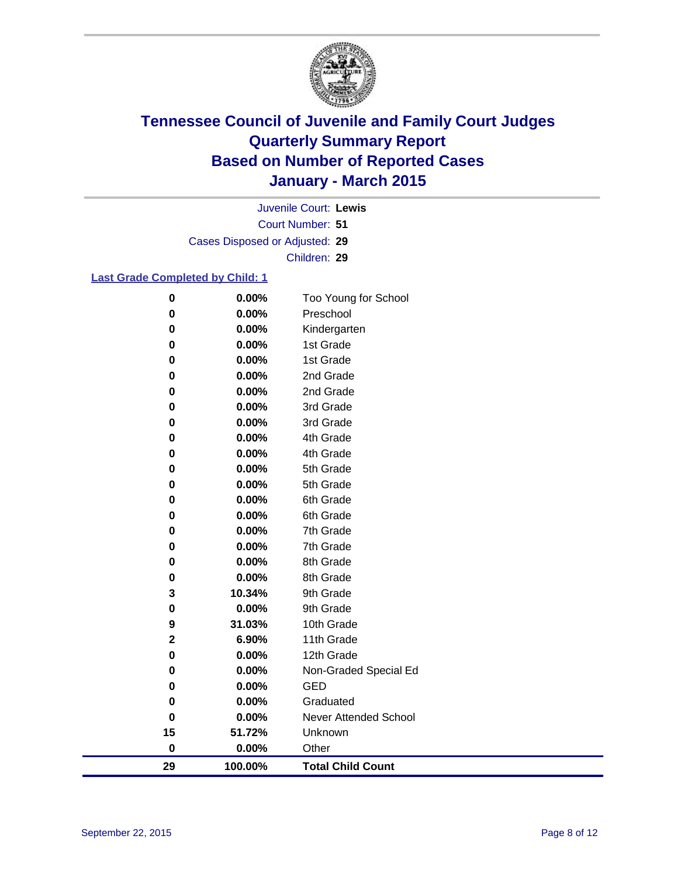

Court Number: **51** Juvenile Court: **Lewis** Cases Disposed or Adjusted: **29** Children: **29**

#### **Last Grade Completed by Child: 1**

| 29            | 100.00%        | <b>Total Child Count</b> |
|---------------|----------------|--------------------------|
| $\pmb{0}$     | 0.00%          | Other                    |
| 15            | 51.72%         | Unknown                  |
| 0             | 0.00%          | Never Attended School    |
| $\bf{0}$      | 0.00%          | Graduated                |
| 0             | 0.00%          | GED                      |
| 0             | 0.00%          | Non-Graded Special Ed    |
| $\mathbf 0$   | 0.00%          | 12th Grade               |
| $\mathbf 2$   | 6.90%          | 11th Grade               |
| 9             | 31.03%         | 10th Grade               |
| 0             | 0.00%          | 9th Grade                |
| 3             | 10.34%         | 9th Grade                |
| $\bf{0}$      | 0.00%          | 8th Grade                |
| $\bf{0}$      | 0.00%          | 8th Grade                |
| $\bf{0}$      | 0.00%          | 7th Grade                |
| $\bf{0}$      | 0.00%          | 7th Grade                |
| $\bf{0}$      | 0.00%          | 6th Grade                |
| 0<br>$\bf{0}$ | 0.00%          | 6th Grade                |
| 0             | 0.00%<br>0.00% | 5th Grade<br>5th Grade   |
| 0             | 0.00%          | 4th Grade                |
| 0             | 0.00%          | 4th Grade                |
| 0             | 0.00%          | 3rd Grade                |
| 0             | 0.00%          | 3rd Grade                |
| 0             | 0.00%          | 2nd Grade                |
| 0             | 0.00%          | 2nd Grade                |
| $\bf{0}$      | 0.00%          | 1st Grade                |
| $\bf{0}$      | 0.00%          | 1st Grade                |
| $\bf{0}$      | 0.00%          | Kindergarten             |
| $\bf{0}$      | 0.00%          | Preschool                |
| $\bf{0}$      | 0.00%          | Too Young for School     |
|               |                |                          |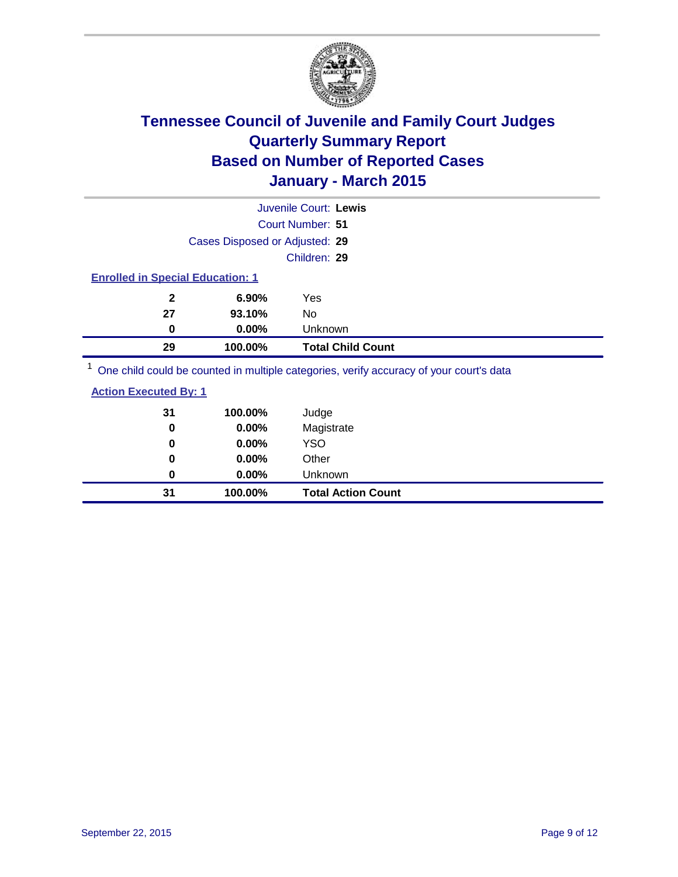

|                                         |                                | Juvenile Court: Lewis                                                                   |  |
|-----------------------------------------|--------------------------------|-----------------------------------------------------------------------------------------|--|
|                                         |                                | Court Number: 51                                                                        |  |
|                                         | Cases Disposed or Adjusted: 29 |                                                                                         |  |
|                                         |                                | Children: 29                                                                            |  |
| <b>Enrolled in Special Education: 1</b> |                                |                                                                                         |  |
| $\mathbf{2}$                            | $6.90\%$                       | Yes                                                                                     |  |
| 27                                      | 93.10%                         | No.                                                                                     |  |
| 0                                       | $0.00\%$                       | <b>Unknown</b>                                                                          |  |
| 29                                      | 100.00%                        | <b>Total Child Count</b>                                                                |  |
|                                         |                                | One child could be counted in multiple categories, verify accuracy of your court's data |  |

<sup>1</sup> One child could be counted in multiple categories, verify accuracy of your court's data

| <b>Action Executed By: 1</b> |  |
|------------------------------|--|
|                              |  |

| 31       | 100.00%  | Judge                     |
|----------|----------|---------------------------|
| 0        | 0.00%    | Magistrate                |
| 0        | 0.00%    | <b>YSO</b>                |
| $\bf{0}$ | 0.00%    | Other                     |
| 0        | $0.00\%$ | Unknown                   |
| 31       | 100.00%  | <b>Total Action Count</b> |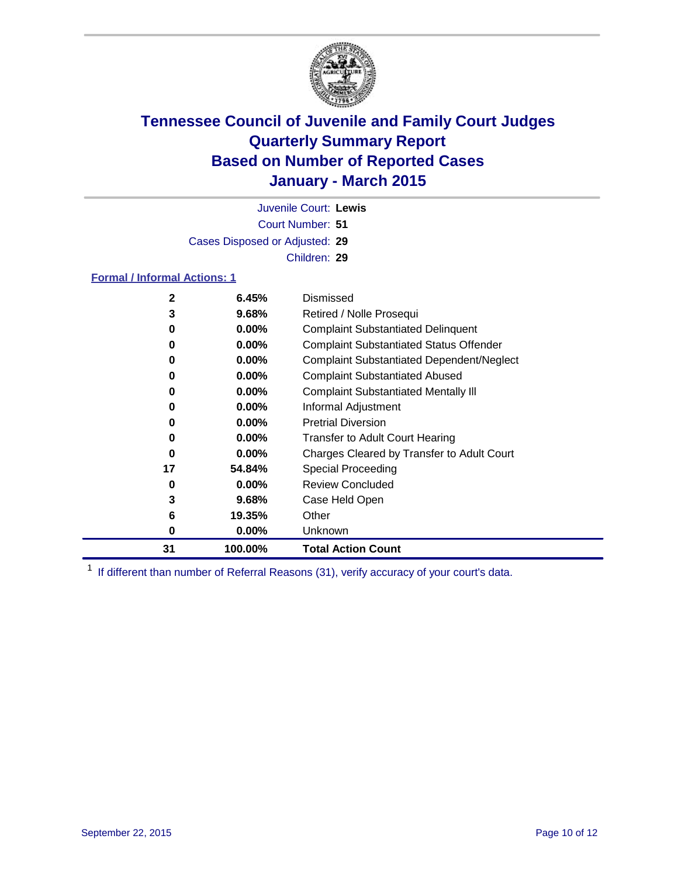

Court Number: **51** Juvenile Court: **Lewis** Cases Disposed or Adjusted: **29** Children: **29**

#### **Formal / Informal Actions: 1**

| $\mathbf{2}$ | 6.45%    | Dismissed                                        |
|--------------|----------|--------------------------------------------------|
| 3            | 9.68%    | Retired / Nolle Prosequi                         |
| 0            | $0.00\%$ | <b>Complaint Substantiated Delinquent</b>        |
| 0            | $0.00\%$ | <b>Complaint Substantiated Status Offender</b>   |
| 0            | $0.00\%$ | <b>Complaint Substantiated Dependent/Neglect</b> |
| 0            | $0.00\%$ | <b>Complaint Substantiated Abused</b>            |
| 0            | $0.00\%$ | <b>Complaint Substantiated Mentally III</b>      |
| 0            | $0.00\%$ | Informal Adjustment                              |
| 0            | $0.00\%$ | <b>Pretrial Diversion</b>                        |
| 0            | $0.00\%$ | <b>Transfer to Adult Court Hearing</b>           |
| 0            | $0.00\%$ | Charges Cleared by Transfer to Adult Court       |
| 17           | 54.84%   | Special Proceeding                               |
| 0            | $0.00\%$ | <b>Review Concluded</b>                          |
| 3            | 9.68%    | Case Held Open                                   |
| 6            | 19.35%   | Other                                            |
| 0            | $0.00\%$ | Unknown                                          |
| 31           | 100.00%  | <b>Total Action Count</b>                        |

<sup>1</sup> If different than number of Referral Reasons (31), verify accuracy of your court's data.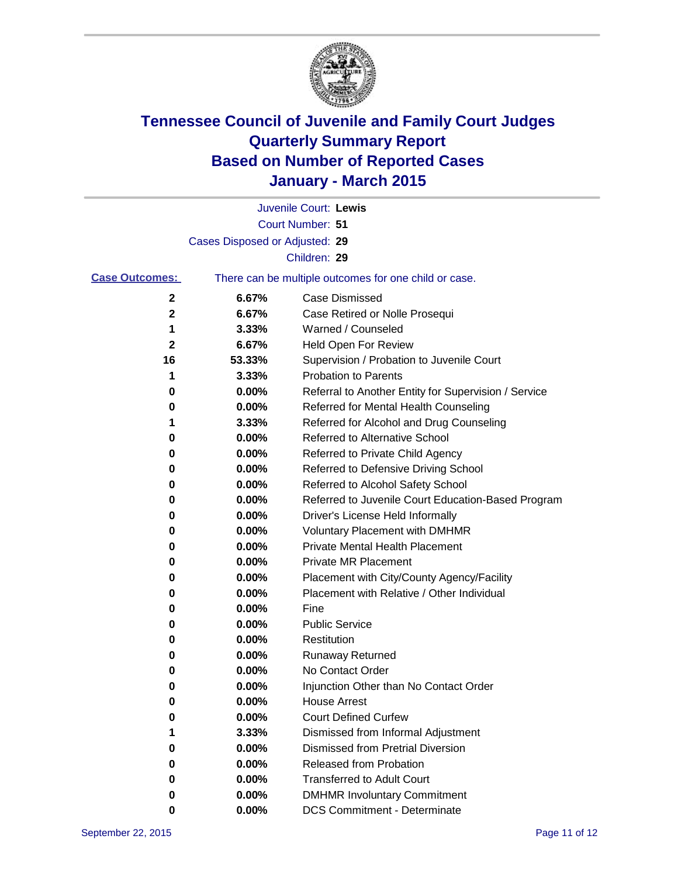

|                       |                                | Juvenile Court: Lewis                                 |
|-----------------------|--------------------------------|-------------------------------------------------------|
|                       |                                | Court Number: 51                                      |
|                       | Cases Disposed or Adjusted: 29 |                                                       |
|                       |                                | Children: 29                                          |
| <b>Case Outcomes:</b> |                                | There can be multiple outcomes for one child or case. |
| 2                     | 6.67%                          | Case Dismissed                                        |
| $\mathbf 2$           | 6.67%                          | Case Retired or Nolle Prosequi                        |
| 1                     | 3.33%                          | Warned / Counseled                                    |
| 2                     | 6.67%                          | Held Open For Review                                  |
| 16                    | 53.33%                         | Supervision / Probation to Juvenile Court             |
| 1                     | 3.33%                          | <b>Probation to Parents</b>                           |
| 0                     | 0.00%                          | Referral to Another Entity for Supervision / Service  |
| 0                     | 0.00%                          | Referred for Mental Health Counseling                 |
| 1                     | 3.33%                          | Referred for Alcohol and Drug Counseling              |
| 0                     | 0.00%                          | <b>Referred to Alternative School</b>                 |
| 0                     | 0.00%                          | Referred to Private Child Agency                      |
| 0                     | 0.00%                          | Referred to Defensive Driving School                  |
| 0                     | 0.00%                          | Referred to Alcohol Safety School                     |
| 0                     | 0.00%                          | Referred to Juvenile Court Education-Based Program    |
| 0                     | 0.00%                          | Driver's License Held Informally                      |
| 0                     | 0.00%                          | <b>Voluntary Placement with DMHMR</b>                 |
| 0                     | 0.00%                          | <b>Private Mental Health Placement</b>                |
| 0                     | 0.00%                          | Private MR Placement                                  |
| 0                     | 0.00%                          | Placement with City/County Agency/Facility            |
| 0                     | 0.00%                          | Placement with Relative / Other Individual            |
| 0                     | 0.00%                          | Fine                                                  |
| 0                     | 0.00%                          | <b>Public Service</b>                                 |
| 0                     | 0.00%                          | Restitution                                           |
| 0                     | 0.00%                          | <b>Runaway Returned</b>                               |
| 0                     | 0.00%                          | No Contact Order                                      |
| 0                     | 0.00%                          | Injunction Other than No Contact Order                |
| 0                     | $0.00\%$                       | <b>House Arrest</b>                                   |
| O                     | 0.00%                          | <b>Court Defined Curfew</b>                           |
|                       | 3.33%                          | Dismissed from Informal Adjustment                    |
| 0                     | 0.00%                          | <b>Dismissed from Pretrial Diversion</b>              |
| 0                     | 0.00%                          | Released from Probation                               |
| 0                     | 0.00%                          | <b>Transferred to Adult Court</b>                     |
| 0                     | 0.00%                          | <b>DMHMR Involuntary Commitment</b>                   |
| 0                     | 0.00%                          | <b>DCS Commitment - Determinate</b>                   |